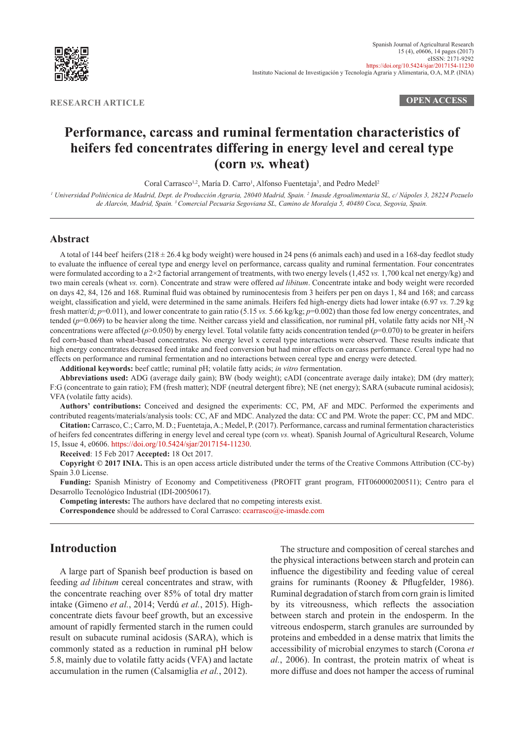

**RESEARCH ARTICLE OPEN ACCESS**

# **Performance, carcass and ruminal fermentation characteristics of heifers fed concentrates differing in energy level and cereal type (corn** *vs.* **wheat)**

Coral Carrasco<sup>1,2</sup>, María D. Carro<sup>1</sup>, Alfonso Fuentetaja<sup>3</sup>, and Pedro Medel<sup>2</sup>

<sup>1</sup> Universidad Politécnica de Madrid, Dept. de Producción Agraria, 28040 Madrid, Spain. <sup>2</sup> Imasde Agroalimentaria SL, c/ Nápoles 3, 28224 Pozuelo *de Alarcón, Madrid, Spain. 3 Comercial Pecuaria Segoviana SL, Camino de Moraleja 5, 40480 Coca, Segovia, Spain.*

### **Abstract**

A total of 144 beef heifers  $(218 \pm 26.4 \text{ kg}$  body weight) were housed in 24 pens (6 animals each) and used in a 168-day feedlot study to evaluate the influence of cereal type and energy level on performance, carcass quality and ruminal fermentation. Four concentrates were formulated according to a 2×2 factorial arrangement of treatments, with two energy levels (1,452 *vs.* 1,700 kcal net energy/kg) and two main cereals (wheat *vs.* corn). Concentrate and straw were offered *ad libitum*. Concentrate intake and body weight were recorded on days 42, 84, 126 and 168. Ruminal fluid was obtained by ruminocentesis from 3 heifers per pen on days 1, 84 and 168; and carcass weight, classification and yield, were determined in the same animals. Heifers fed high-energy diets had lower intake (6.97 *vs.* 7.29 kg fresh matter/d;  $p=0.011$ ), and lower concentrate to gain ratio (5.15 *vs.* 5.66 kg/kg;  $p=0.002$ ) than those fed low energy concentrates, and tended (p=0.069) to be heavier along the time. Neither carcass yield and classification, nor ruminal pH, volatile fatty acids nor NH<sub>3</sub>-N concentrations were affected (*p*>0.050) by energy level. Total volatile fatty acids concentration tended (*p*=0.070) to be greater in heifers fed corn-based than wheat-based concentrates. No energy level x cereal type interactions were observed. These results indicate that high energy concentrates decreased feed intake and feed conversion but had minor effects on carcass performance. Cereal type had no effects on performance and ruminal fermentation and no interactions between cereal type and energy were detected.

**Additional keywords:** beef cattle; ruminal pH; volatile fatty acids; *in vitro* fermentation.

**Abbreviations used:** ADG (average daily gain); BW (body weight); cADI (concentrate average daily intake); DM (dry matter); F:G (concentrate to gain ratio); FM (fresh matter); NDF (neutral detergent fibre); NE (net energy); SARA (subacute ruminal acidosis); VFA (volatile fatty acids).

**Authors' contributions:** Conceived and designed the experiments: CC, PM, AF and MDC. Performed the experiments and contributed reagents/materials/analysis tools: CC, AF and MDC. Analyzed the data: CC and PM. Wrote the paper: CC, PM and MDC.

**Citation:** Carrasco, C.; Carro, M. D.; Fuentetaja, A.; Medel, P. (2017). Performance, carcass and ruminal fermentation characteristics of heifers fed concentrates differing in energy level and cereal type (corn *vs.* wheat). Spanish Journal of Agricultural Research, Volume 15, Issue 4, e0606.<https://doi.org/10.5424/sjar/2017154-11230>.

**Received**: 15 Feb 2017 **Accepted:** 18 Oct 2017.

**Copyright © 2017 INIA.** This is an open access article distributed under the terms of the Creative Commons Attribution (CC-by) Spain 3.0 License.

**Funding:** Spanish Ministry of Economy and Competitiveness (PROFIT grant program, FIT060000200511); Centro para el Desarrollo Tecnológico Industrial (IDI-20050617).

**Competing interests:** The authors have declared that no competing interests exist.

**Correspondence** should be addressed to Coral Carrasco: [ccarrasco@e-imasde.com](http://ccarrasco@e-imasde.com)

# **Introduction**

A large part of Spanish beef production is based on feeding *ad libitum* cereal concentrates and straw, with the concentrate reaching over 85% of total dry matter intake (Gimeno *et al.*, 2014; Verdú *et al.*, 2015). Highconcentrate diets favour beef growth, but an excessive amount of rapidly fermented starch in the rumen could result on subacute ruminal acidosis (SARA), which is commonly stated as a reduction in ruminal pH below 5.8, mainly due to volatile fatty acids (VFA) and lactate accumulation in the rumen (Calsamiglia *et al.*, 2012).

The structure and composition of cereal starches and the physical interactions between starch and protein can influence the digestibility and feeding value of cereal grains for ruminants (Rooney & Pflugfelder, 1986). Ruminal degradation of starch from corn grain is limited by its vitreousness, which reflects the association between starch and protein in the endosperm. In the vitreous endosperm, starch granules are surrounded by proteins and embedded in a dense matrix that limits the accessibility of microbial enzymes to starch (Corona *et al.*, 2006). In contrast, the protein matrix of wheat is more diffuse and does not hamper the access of ruminal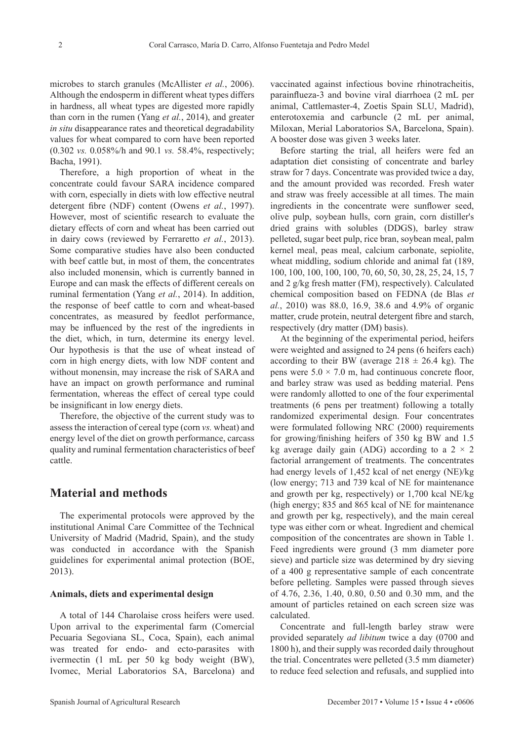microbes to starch granules (McAllister *et al.*, 2006). Although the endosperm in different wheat types differs in hardness, all wheat types are digested more rapidly than corn in the rumen (Yang *et al.*, 2014), and greater *in situ* disappearance rates and theoretical degradability values for wheat compared to corn have been reported (0.302 *vs.* 0.058%/h and 90.1 *vs.* 58.4%, respectively; Bacha, 1991).

Therefore, a high proportion of wheat in the concentrate could favour SARA incidence compared with corn, especially in diets with low effective neutral detergent fibre (NDF) content (Owens *et al.*, 1997). However, most of scientific research to evaluate the dietary effects of corn and wheat has been carried out in dairy cows (reviewed by Ferraretto *et al.*, 2013). Some comparative studies have also been conducted with beef cattle but, in most of them, the concentrates also included monensin, which is currently banned in Europe and can mask the effects of different cereals on ruminal fermentation (Yang *et al.*, 2014). In addition, the response of beef cattle to corn and wheat-based concentrates, as measured by feedlot performance, may be influenced by the rest of the ingredients in the diet, which, in turn, determine its energy level. Our hypothesis is that the use of wheat instead of corn in high energy diets, with low NDF content and without monensin, may increase the risk of SARA and have an impact on growth performance and ruminal fermentation, whereas the effect of cereal type could be insignificant in low energy diets.

Therefore, the objective of the current study was to assess the interaction of cereal type (corn *vs.* wheat) and energy level of the diet on growth performance, carcass quality and ruminal fermentation characteristics of beef cattle.

### **Material and methods**

The experimental protocols were approved by the institutional Animal Care Committee of the Technical University of Madrid (Madrid, Spain), and the study was conducted in accordance with the Spanish guidelines for experimental animal protection (BOE, 2013).

### **Animals, diets and experimental design**

A total of 144 Charolaise cross heifers were used. Upon arrival to the experimental farm (Comercial Pecuaria Segoviana SL, Coca, Spain), each animal was treated for endo- and ecto-parasites with ivermectin (1 mL per 50 kg body weight (BW), Ivomec, Merial Laboratorios SA, Barcelona) and

vaccinated against infectious bovine rhinotracheitis, parainflueza-3 and bovine viral diarrhoea (2 mL per animal, Cattlemaster-4, Zoetis Spain SLU, Madrid), enterotoxemia and carbuncle (2 mL per animal, Miloxan, Merial Laboratorios SA, Barcelona, Spain). A booster dose was given 3 weeks later.

Before starting the trial, all heifers were fed an adaptation diet consisting of concentrate and barley straw for 7 days. Concentrate was provided twice a day, and the amount provided was recorded. Fresh water and straw was freely accessible at all times. The main ingredients in the concentrate were sunflower seed, olive pulp, soybean hulls, corn grain, corn distiller's dried grains with solubles (DDGS), barley straw pelleted, sugar beet pulp, rice bran, soybean meal, palm kernel meal, peas meal, calcium carbonate, sepiolite, wheat middling, sodium chloride and animal fat (189, 100, 100, 100, 100, 100, 70, 60, 50, 30, 28, 25, 24, 15, 7 and 2 g/kg fresh matter (FM), respectively). Calculated chemical composition based on FEDNA (de Blas *et al.*, 2010) was 88.0, 16.9, 38.6 and 4.9% of organic matter, crude protein, neutral detergent fibre and starch, respectively (dry matter (DM) basis).

At the beginning of the experimental period, heifers were weighted and assigned to 24 pens (6 heifers each) according to their BW (average  $218 \pm 26.4$  kg). The pens were  $5.0 \times 7.0$  m, had continuous concrete floor, and barley straw was used as bedding material. Pens were randomly allotted to one of the four experimental treatments (6 pens per treatment) following a totally randomized experimental design. Four concentrates were formulated following NRC (2000) requirements for growing/finishing heifers of 350 kg BW and 1.5 kg average daily gain (ADG) according to a  $2 \times 2$ factorial arrangement of treatments. The concentrates had energy levels of 1,452 kcal of net energy (NE)/kg (low energy; 713 and 739 kcal of NE for maintenance and growth per kg, respectively) or 1,700 kcal NE/kg (high energy; 835 and 865 kcal of NE for maintenance and growth per kg, respectively), and the main cereal type was either corn or wheat. Ingredient and chemical composition of the concentrates are shown in Table 1. Feed ingredients were ground (3 mm diameter pore sieve) and particle size was determined by dry sieving of a 400 g representative sample of each concentrate before pelleting. Samples were passed through sieves of 4.76, 2.36, 1.40, 0.80, 0.50 and 0.30 mm, and the amount of particles retained on each screen size was calculated.

Concentrate and full-length barley straw were provided separately *ad libitum* twice a day (0700 and 1800 h), and their supply was recorded daily throughout the trial. Concentrates were pelleted (3.5 mm diameter) to reduce feed selection and refusals, and supplied into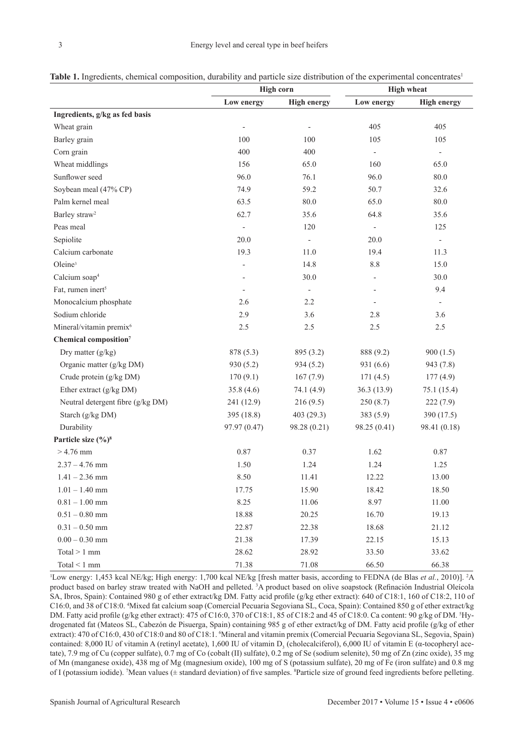|                                |                          | High corn   | <b>High wheat</b> |                          |  |
|--------------------------------|--------------------------|-------------|-------------------|--------------------------|--|
|                                | Low energy               | High energy | Low energy        | <b>High energy</b>       |  |
| Ingredients, g/kg as fed basis |                          |             |                   |                          |  |
| Wheat grain                    | $\overline{\phantom{0}}$ |             | 405               | 405                      |  |
| Barley grain                   | 100                      | 100         | 105               | 105                      |  |
| Corn grain                     | 400                      | 400         | ۰                 | $\overline{\phantom{0}}$ |  |

**Table 1.** Ingredients, chemical composition, durability and particle size distribution of the experimental concentrates<sup>1</sup>

| Wheat grain                         | $\overline{\phantom{a}}$ | $\qquad \qquad -$ | 405                      | 405                      |
|-------------------------------------|--------------------------|-------------------|--------------------------|--------------------------|
| Barley grain                        | 100                      | 100               | 105                      | 105                      |
| Corn grain                          | 400                      | 400               | $\blacksquare$           | $\mathbb{Z}^2$           |
| Wheat middlings                     | 156                      | 65.0              | 160                      | 65.0                     |
| Sunflower seed                      | 96.0                     | 76.1              | 96.0                     | $80.0\,$                 |
| Soybean meal (47% CP)               | 74.9                     | 59.2              | 50.7                     | 32.6                     |
| Palm kernel meal                    | 63.5                     | $80.0\,$          | 65.0                     | $80.0\,$                 |
| Barley straw <sup>2</sup>           | 62.7                     | 35.6              | 64.8                     | 35.6                     |
| Peas meal                           | $\overline{\phantom{a}}$ | 120               | $\overline{\phantom{a}}$ | 125                      |
| Sepiolite                           | 20.0                     | ÷                 | 20.0                     | $\overline{\phantom{a}}$ |
| Calcium carbonate                   | 19.3                     | 11.0              | 19.4                     | 11.3                     |
| Oleine <sup>3</sup>                 | ÷                        | 14.8              | 8.8                      | 15.0                     |
| Calcium soap <sup>4</sup>           | $\frac{1}{2}$            | 30.0              |                          | 30.0                     |
| Fat, rumen inert <sup>5</sup>       | $\overline{\phantom{a}}$ | $\overline{a}$    |                          | 9.4                      |
| Monocalcium phosphate               | 2.6                      | 2.2               | $\overline{\phantom{a}}$ | $\blacksquare$           |
| Sodium chloride                     | 2.9                      | 3.6               | 2.8                      | 3.6                      |
| Mineral/vitamin premix <sup>6</sup> | 2.5                      | 2.5               | 2.5                      | $2.5\,$                  |
| Chemical composition <sup>7</sup>   |                          |                   |                          |                          |
| Dry matter (g/kg)                   | 878 (5.3)                | 895 (3.2)         | 888 (9.2)                | 900(1.5)                 |
| Organic matter (g/kg DM)            | 930 (5.2)                | 934(5.2)          | 931 (6.6)                | 943 (7.8)                |
| Crude protein (g/kg DM)             | 170(9.1)                 | 167(7.9)          | 171(4.5)                 | 177(4.9)                 |
| Ether extract (g/kg DM)             | 35.8(4.6)                | 74.1 (4.9)        | 36.3(13.9)               | 75.1 (15.4)              |
| Neutral detergent fibre (g/kg DM)   | 241 (12.9)               | 216(9.5)          | 250(8.7)                 | 222 (7.9)                |
| Starch (g/kg DM)                    | 395 (18.8)               | 403 (29.3)        | 383(5.9)                 | 390 (17.5)               |
| Durability                          | 97.97 (0.47)             | 98.28 (0.21)      | 98.25 (0.41)             | 98.41 (0.18)             |
| Particle size (%) <sup>8</sup>      |                          |                   |                          |                          |
| $> 4.76$ mm                         | $0.87\,$                 | 0.37              | 1.62                     | $0.87\,$                 |
| $2.37 - 4.76$ mm                    | 1.50                     | 1.24              | 1.24                     | 1.25                     |
| $1.41 - 2.36$ mm                    | 8.50                     | 11.41             | 12.22                    | 13.00                    |
| $1.01 - 1.40$ mm                    | 17.75                    | 15.90             | 18.42                    | 18.50                    |
| $0.81 - 1.00$ mm                    | 8.25                     | 11.06             | 8.97                     | 11.00                    |
| $0.51 - 0.80$ mm                    | 18.88                    | 20.25             | 16.70                    | 19.13                    |
| $0.31 - 0.50$ mm                    | 22.87                    | 22.38             | 18.68                    | 21.12                    |
| $0.00 - 0.30$ mm                    | 21.38                    | 17.39             | 22.15                    | 15.13                    |
| Total $> 1$ mm                      | 28.62                    | 28.92             | 33.50                    | 33.62                    |
| Total $\leq 1$ mm                   | 71.38                    | 71.08             | 66.50                    | 66.38                    |

<sup>1</sup>Low energy: 1,453 kcal NE/kg; High energy: 1,700 kcal NE/kg [fresh matter basis, according to FEDNA (de Blas *et al.*, 2010)]. <sup>2</sup>A product based on barley straw treated with NaOH and pelleted. <sup>3</sup>A product based on olive soapstock (Refinación Industrial Oleícola SA, Ibros, Spain): Contained 980 g of ether extract/kg DM. Fatty acid profile (g/kg ether extract): 640 of C18:1, 160 of C18:2, 110 of C16:0, and 38 of C18:0. 4 Mixed fat calcium soap (Comercial Pecuaria Segoviana SL, Coca, Spain): Contained 850 g of ether extract/kg DM. Fatty acid profile (g/kg ether extract): 475 of C16:0, 370 of C18:1, 85 of C18:2 and 45 of C18:0. Ca content: 90 g/kg of DM. <sup>5</sup> Hydrogenated fat (Mateos SL, Cabezón de Pisuerga, Spain) containing 985 g of ether extract/kg of DM. Fatty acid profile (g/kg of ether extract): 470 of C16:0, 430 of C18:0 and 80 of C18:1. Mineral and vitamin premix (Comercial Pecuaria Segoviana SL, Segovia, Spain) contained: 8,000 IU of vitamin A (retinyl acetate), 1,600 IU of vitamin  $D_3$  (cholecalciferol), 6,000 IU of vitamin E ( $\alpha$ -tocopheryl acetate), 7.9 mg of Cu (copper sulfate), 0.7 mg of Co (cobalt (II) sulfate), 0.2 mg of Se (sodium selenite), 50 mg of Zn (zinc oxide), 35 mg of Mn (manganese oxide), 438 mg of Mg (magnesium oxide), 100 mg of S (potassium sulfate), 20 mg of Fe (iron sulfate) and 0.8 mg of I (potassium iodide). 7 Mean values (± standard deviation) of five samples. <sup>8</sup> Particle size of ground feed ingredients before pelleting.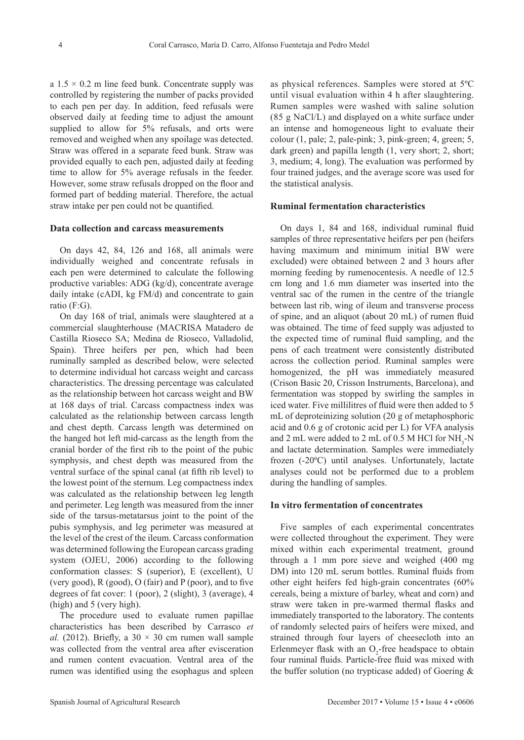a  $1.5 \times 0.2$  m line feed bunk. Concentrate supply was controlled by registering the number of packs provided to each pen per day. In addition, feed refusals were observed daily at feeding time to adjust the amount supplied to allow for 5% refusals, and orts were removed and weighed when any spoilage was detected. Straw was offered in a separate feed bunk. Straw was provided equally to each pen, adjusted daily at feeding time to allow for 5% average refusals in the feeder. However, some straw refusals dropped on the floor and formed part of bedding material. Therefore, the actual straw intake per pen could not be quantified.

### **Data collection and carcass measurements**

On days 42, 84, 126 and 168, all animals were individually weighed and concentrate refusals in each pen were determined to calculate the following productive variables: ADG (kg/d), concentrate average daily intake (cADI, kg FM/d) and concentrate to gain ratio (F:G).

On day 168 of trial, animals were slaughtered at a commercial slaughterhouse (MACRISA Matadero de Castilla Rioseco SA; Medina de Rioseco, Valladolid, Spain). Three heifers per pen, which had been ruminally sampled as described below, were selected to determine individual hot carcass weight and carcass characteristics. The dressing percentage was calculated as the relationship between hot carcass weight and BW at 168 days of trial. Carcass compactness index was calculated as the relationship between carcass length and chest depth. Carcass length was determined on the hanged hot left mid-carcass as the length from the cranial border of the first rib to the point of the pubic symphysis, and chest depth was measured from the ventral surface of the spinal canal (at fifth rib level) to the lowest point of the sternum. Leg compactness index was calculated as the relationship between leg length and perimeter. Leg length was measured from the inner side of the tarsus-metatarsus joint to the point of the pubis symphysis, and leg perimeter was measured at the level of the crest of the ileum. Carcass conformation was determined following the European carcass grading system (OJEU, 2006) according to the following conformation classes: S (superior), E (excellent), U (very good), R (good), O (fair) and P (poor), and to five degrees of fat cover: 1 (poor), 2 (slight), 3 (average), 4 (high) and 5 (very high).

The procedure used to evaluate rumen papillae characteristics has been described by Carrasco *et al.* (2012). Briefly, a  $30 \times 30$  cm rumen wall sample was collected from the ventral area after evisceration and rumen content evacuation. Ventral area of the rumen was identified using the esophagus and spleen

as physical references. Samples were stored at 5ºC until visual evaluation within 4 h after slaughtering. Rumen samples were washed with saline solution (85 g NaCl/L) and displayed on a white surface under an intense and homogeneous light to evaluate their colour (1, pale; 2, pale-pink; 3, pink-green; 4, green; 5, dark green) and papilla length (1, very short; 2, short; 3, medium; 4, long). The evaluation was performed by four trained judges, and the average score was used for the statistical analysis.

#### **Ruminal fermentation characteristics**

On days 1, 84 and 168, individual ruminal fluid samples of three representative heifers per pen (heifers having maximum and minimum initial BW were excluded) were obtained between 2 and 3 hours after morning feeding by rumenocentesis. A needle of 12.5 cm long and 1.6 mm diameter was inserted into the ventral sac of the rumen in the centre of the triangle between last rib, wing of ileum and transverse process of spine, and an aliquot (about 20 mL) of rumen fluid was obtained. The time of feed supply was adjusted to the expected time of ruminal fluid sampling, and the pens of each treatment were consistently distributed across the collection period. Ruminal samples were homogenized, the pH was immediately measured (Crison Basic 20, Crisson Instruments, Barcelona), and fermentation was stopped by swirling the samples in iced water. Five millilitres of fluid were then added to 5 mL of deproteinizing solution (20 g of metaphosphoric acid and 0.6 g of crotonic acid per L) for VFA analysis and 2 mL were added to 2 mL of 0.5 M HCl for  $NH<sub>3</sub>-N$ and lactate determination. Samples were immediately frozen (-20ºC) until analyses. Unfortunately, lactate analyses could not be performed due to a problem during the handling of samples.

### **In vitro fermentation of concentrates**

Five samples of each experimental concentrates were collected throughout the experiment. They were mixed within each experimental treatment, ground through a 1 mm pore sieve and weighed (400 mg DM) into 120 mL serum bottles. Ruminal fluids from other eight heifers fed high-grain concentrates (60% cereals, being a mixture of barley, wheat and corn) and straw were taken in pre-warmed thermal flasks and immediately transported to the laboratory. The contents of randomly selected pairs of heifers were mixed, and strained through four layers of cheesecloth into an Erlenmeyer flask with an  $O_2$ -free headspace to obtain four ruminal fluids. Particle-free fluid was mixed with the buffer solution (no trypticase added) of Goering &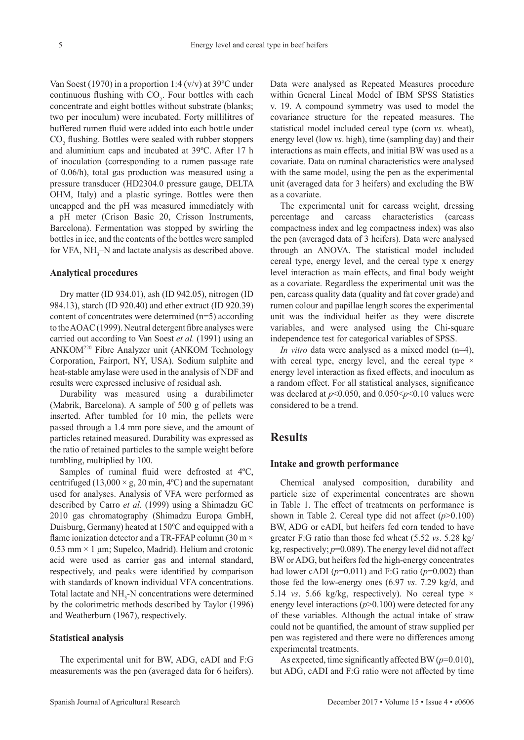Van Soest (1970) in a proportion 1:4 ( $v/v$ ) at 39 $^{\circ}$ C under continuous flushing with  $CO<sub>2</sub>$ . Four bottles with each concentrate and eight bottles without substrate (blanks; two per inoculum) were incubated. Forty millilitres of buffered rumen fluid were added into each bottle under  $CO<sub>2</sub>$  flushing. Bottles were sealed with rubber stoppers and aluminium caps and incubated at 39ºC. After 17 h of inoculation (corresponding to a rumen passage rate of 0.06/h), total gas production was measured using a pressure transducer (HD2304.0 pressure gauge, DELTA OHM, Italy) and a plastic syringe. Bottles were then uncapped and the pH was measured immediately with a pH meter (Crison Basic 20, Crisson Instruments, Barcelona). Fermentation was stopped by swirling the bottles in ice, and the contents of the bottles were sampled for VFA,  $NH_3$ -N and lactate analysis as described above.

#### **Analytical procedures**

Dry matter (ID 934.01), ash (ID 942.05), nitrogen (ID 984.13), starch (ID 920.40) and ether extract (ID 920.39) content of concentrates were determined (n=5) according to the AOAC (1999). Neutral detergent fibre analyses were carried out according to Van Soest *et al.* (1991) using an ANKOM220 Fibre Analyzer unit (ANKOM Technology Corporation, Fairport, NY, USA). Sodium sulphite and heat-stable amylase were used in the analysis of NDF and results were expressed inclusive of residual ash.

Durability was measured using a durabilimeter (Mabrik, Barcelona). A sample of 500 g of pellets was inserted. After tumbled for 10 min, the pellets were passed through a 1.4 mm pore sieve, and the amount of particles retained measured. Durability was expressed as the ratio of retained particles to the sample weight before tumbling, multiplied by 100.

Samples of ruminal fluid were defrosted at 4ºC, centrifuged (13,000  $\times$  g, 20 min, 4°C) and the supernatant used for analyses. Analysis of VFA were performed as described by Carro *et al.* (1999) using a Shimadzu GC 2010 gas chromatography (Shimadzu Europa GmbH, Duisburg, Germany) heated at 150ºC and equipped with a flame ionization detector and a TR-FFAP column (30 m  $\times$  $0.53$  mm  $\times$  1 µm; Supelco, Madrid). Helium and crotonic acid were used as carrier gas and internal standard, respectively, and peaks were identified by comparison with standards of known individual VFA concentrations. Total lactate and  $NH<sub>3</sub>$ -N concentrations were determined by the colorimetric methods described by Taylor (1996) and Weatherburn (1967), respectively.

#### **Statistical analysis**

The experimental unit for BW, ADG, cADI and F:G measurements was the pen (averaged data for 6 heifers). Data were analysed as Repeated Measures procedure within General Lineal Model of IBM SPSS Statistics v. 19. A compound symmetry was used to model the covariance structure for the repeated measures. The statistical model included cereal type (corn *vs.* wheat), energy level (low *vs*. high), time (sampling day) and their interactions as main effects, and initial BW was used as a covariate. Data on ruminal characteristics were analysed with the same model, using the pen as the experimental unit (averaged data for 3 heifers) and excluding the BW as a covariate.

The experimental unit for carcass weight, dressing percentage and carcass characteristics (carcass compactness index and leg compactness index) was also the pen (averaged data of 3 heifers). Data were analysed through an ANOVA. The statistical model included cereal type, energy level, and the cereal type x energy level interaction as main effects, and final body weight as a covariate. Regardless the experimental unit was the pen, carcass quality data (quality and fat cover grade) and rumen colour and papillae length scores the experimental unit was the individual heifer as they were discrete variables, and were analysed using the Chi-square independence test for categorical variables of SPSS.

*In vitro* data were analysed as a mixed model (n=4), with cereal type, energy level, and the cereal type  $\times$ energy level interaction as fixed effects, and inoculum as a random effect. For all statistical analyses, significance was declared at *p*<0.050, and 0.050<*p*<0.10 values were considered to be a trend.

### **Results**

#### **Intake and growth performance**

Chemical analysed composition, durability and particle size of experimental concentrates are shown in Table 1. The effect of treatments on performance is shown in Table 2. Cereal type did not affect  $(p>0.100)$ BW, ADG or cADI, but heifers fed corn tended to have greater F:G ratio than those fed wheat (5.52 *vs*. 5.28 kg/ kg, respectively; *p*=0.089). The energy level did not affect BW or ADG, but heifers fed the high-energy concentrates had lower cADI ( $p=0.011$ ) and F:G ratio ( $p=0.002$ ) than those fed the low-energy ones (6.97 *vs*. 7.29 kg/d, and 5.14 *vs*. 5.66 kg/kg, respectively). No cereal type × energy level interactions (*p*>0.100) were detected for any of these variables. Although the actual intake of straw could not be quantified, the amount of straw supplied per pen was registered and there were no differences among experimental treatments.

As expected, time significantly affected BW (*p*=0.010), but ADG, cADI and F:G ratio were not affected by time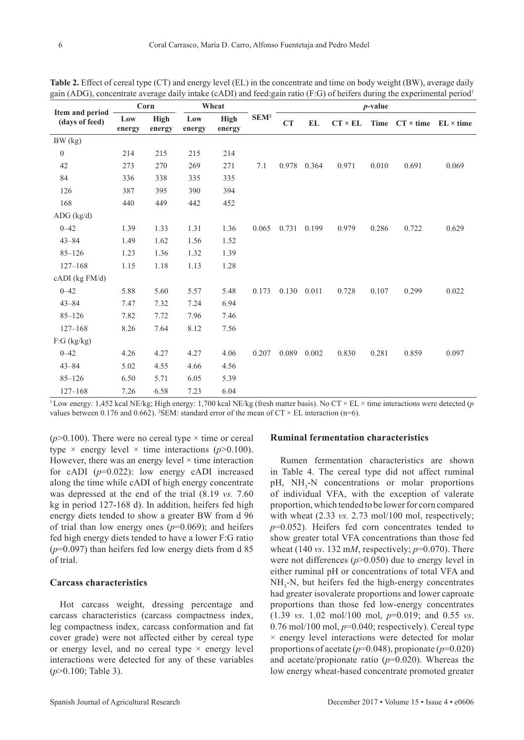|                                   | Corn<br>Wheat |                       |               |                       | $p$ -value       |       |             |                |       |                                   |       |
|-----------------------------------|---------------|-----------------------|---------------|-----------------------|------------------|-------|-------------|----------------|-------|-----------------------------------|-------|
| Item and period<br>(days of feed) | Low<br>energy | <b>High</b><br>energy | Low<br>energy | <b>High</b><br>energy | SEM <sup>2</sup> | CT    | EL          | $CT \times EL$ | Time  | $CT \times$ time $EL \times$ time |       |
| BW (kg)                           |               |                       |               |                       |                  |       |             |                |       |                                   |       |
| $\boldsymbol{0}$                  | 214           | 215                   | 215           | 214                   |                  |       |             |                |       |                                   |       |
| 42                                | 273           | 270                   | 269           | 271                   | 7.1              |       | 0.978 0.364 | 0.971          | 0.010 | 0.691                             | 0.069 |
| 84                                | 336           | 338                   | 335           | 335                   |                  |       |             |                |       |                                   |       |
| 126                               | 387           | 395                   | 390           | 394                   |                  |       |             |                |       |                                   |       |
| 168                               | 440           | 449                   | 442           | 452                   |                  |       |             |                |       |                                   |       |
| $ADG$ (kg/d)                      |               |                       |               |                       |                  |       |             |                |       |                                   |       |
| $0 - 42$                          | 1.39          | 1.33                  | 1.31          | 1.36                  | 0.065            | 0.731 | 0.199       | 0.979          | 0.286 | 0.722                             | 0.629 |
| $43 - 84$                         | 1.49          | 1.62                  | 1.56          | 1.52                  |                  |       |             |                |       |                                   |       |
| $85 - 126$                        | 1.23          | 1.36                  | 1.32          | 1.39                  |                  |       |             |                |       |                                   |       |
| $127 - 168$                       | 1.15          | 1.18                  | 1.13          | 1.28                  |                  |       |             |                |       |                                   |       |
| cADI (kg FM/d)                    |               |                       |               |                       |                  |       |             |                |       |                                   |       |
| $0 - 42$                          | 5.88          | 5.60                  | 5.57          | 5.48                  | 0.173            | 0.130 | 0.011       | 0.728          | 0.107 | 0.299                             | 0.022 |
| $43 - 84$                         | 7.47          | 7.32                  | 7.24          | 6.94                  |                  |       |             |                |       |                                   |       |
| $85 - 126$                        | 7.82          | 7.72                  | 7.96          | 7.46                  |                  |       |             |                |       |                                   |       |
| $127 - 168$                       | 8.26          | 7.64                  | 8.12          | 7.56                  |                  |       |             |                |       |                                   |       |
| $F:G$ (kg/kg)                     |               |                       |               |                       |                  |       |             |                |       |                                   |       |
| $0 - 42$                          | 4.26          | 4.27                  | 4.27          | 4.06                  | 0.207            | 0.089 | 0.002       | 0.830          | 0.281 | 0.859                             | 0.097 |
| $43 - 84$                         | 5.02          | 4.55                  | 4.66          | 4.56                  |                  |       |             |                |       |                                   |       |
| $85 - 126$                        | 6.50          | 5.71                  | 6.05          | 5.39                  |                  |       |             |                |       |                                   |       |
| $127 - 168$                       | 7.26          | 6.58                  | 7.23          | 6.04                  |                  |       |             |                |       |                                   |       |

**Table 2.** Effect of cereal type (CT) and energy level (EL) in the concentrate and time on body weight (BW), average daily gain (ADG), concentrate average daily intake (cADI) and feed:gain ratio (F:G) of heifers during the experimental period<sup>1</sup>

<sup>1</sup>Low energy: 1,452 kcal NE/kg; High energy: 1,700 kcal NE/kg (fresh matter basis). No CT × EL × time interactions were detected (*p* values between 0.176 and 0.662). <sup>2</sup>SEM: standard error of the mean of  $CT \times EL$  interaction (n=6).

( $p > 0.100$ ). There were no cereal type  $\times$  time or cereal type  $\times$  energy level  $\times$  time interactions ( $p > 0.100$ ). However, there was an energy level  $\times$  time interaction for cADI (*p*=0.022): low energy cADI increased along the time while cADI of high energy concentrate was depressed at the end of the trial (8.19 *vs.* 7.60 kg in period 127-168 d). In addition, heifers fed high energy diets tended to show a greater BW from d 96 of trial than low energy ones  $(p=0.069)$ ; and heifers fed high energy diets tended to have a lower F:G ratio (*p*=0.097) than heifers fed low energy diets from d 85 of trial.

### **Carcass characteristics**

Hot carcass weight, dressing percentage and carcass characteristics (carcass compactness index, leg compactness index, carcass conformation and fat cover grade) were not affected either by cereal type or energy level, and no cereal type  $\times$  energy level interactions were detected for any of these variables (*p*>0.100; Table 3).

### **Ruminal fermentation characteristics**

Rumen fermentation characteristics are shown in Table 4. The cereal type did not affect ruminal pH, NH<sub>3</sub>-N concentrations or molar proportions of individual VFA, with the exception of valerate proportion, which tended to be lower for corn compared with wheat  $(2.33 \text{ vs. } 2.73 \text{ mol}/100 \text{ mol}, \text{respectively};$ *p*=0.052). Heifers fed corn concentrates tended to show greater total VFA concentrations than those fed wheat (140 *vs*. 132 m*M*, respectively; *p*=0.070). There were not differences (*p*>0.050) due to energy level in either ruminal pH or concentrations of total VFA and  $NH<sub>3</sub>-N$ , but heifers fed the high-energy concentrates had greater isovalerate proportions and lower caproate proportions than those fed low-energy concentrates (1.39 *vs*. 1.02 mol/100 mol, *p*=0.019; and 0.55 *vs*.  $0.76$  mol/100 mol,  $p=0.040$ ; respectively). Cereal type  $\times$  energy level interactions were detected for molar proportions of acetate (*p*=0.048), propionate (*p*=0.020) and acetate/propionate ratio (*p*=0.020). Whereas the low energy wheat-based concentrate promoted greater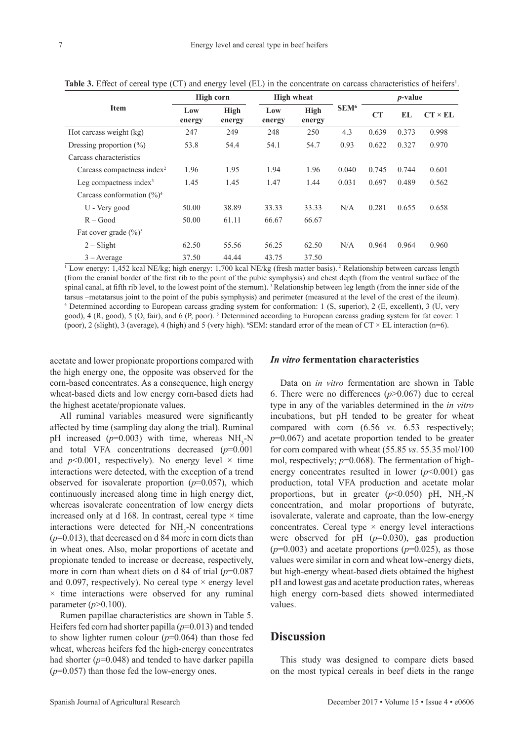|                                        | High corn     |                       |               | <b>High wheat</b> |                  | <i>p</i> -value |       |                |  |
|----------------------------------------|---------------|-----------------------|---------------|-------------------|------------------|-----------------|-------|----------------|--|
| <b>Item</b>                            | Low<br>energy | <b>High</b><br>energy | Low<br>energy | High<br>energy    | SEM <sup>6</sup> | CT              | EL    | $CT \times EL$ |  |
| Hot carcass weight (kg)                | 247           | 249                   | 248           | 250               | 4.3              | 0.639           | 0.373 | 0.998          |  |
| Dressing proportion $(\%)$             | 53.8          | 54.4                  | 54.1          | 54.7              | 0.93             | 0.622           | 0.327 | 0.970          |  |
| Carcass characteristics                |               |                       |               |                   |                  |                 |       |                |  |
| Carcass compactness index <sup>2</sup> | 1.96          | 1.95                  | 1.94          | 1.96              | 0.040            | 0.745           | 0.744 | 0.601          |  |
| Leg compactness index $3$              | 1.45          | 1.45                  | 1.47          | 1.44              | 0.031            | 0.697           | 0.489 | 0.562          |  |
| Carcass conformation $(\frac{9}{6})^4$ |               |                       |               |                   |                  |                 |       |                |  |
| U - Very good                          | 50.00         | 38.89                 | 33.33         | 33.33             | N/A              | 0.281           | 0.655 | 0.658          |  |
| $R - Good$                             | 50.00         | 61.11                 | 66.67         | 66.67             |                  |                 |       |                |  |
| Fat cover grade $(\frac{9}{6})^5$      |               |                       |               |                   |                  |                 |       |                |  |
| $2 - S$ light                          | 62.50         | 55.56                 | 56.25         | 62.50             | N/A              | 0.964           | 0.964 | 0.960          |  |
| $3 - Average$                          | 37.50         | 44.44                 | 43.75         | 37.50             |                  |                 |       |                |  |

**Table 3.** Effect of cereal type (CT) and energy level (EL) in the concentrate on carcass characteristics of heifers<sup>1</sup>.

<sup>1</sup> Low energy: 1,452 kcal NE/kg; high energy: 1,700 kcal NE/kg (fresh matter basis).<sup>2</sup> Relationship between carcass length (from the cranial border of the first rib to the point of the pubic symphysis) and chest depth (from the ventral surface of the spinal canal, at fifth rib level, to the lowest point of the sternum). <sup>3</sup> Relationship between leg length (from the inner side of the tarsus –metatarsus joint to the point of the pubis symphysis) and perimeter (measured at the level of the crest of the ileum). 4 Determined according to European carcass grading system for conformation: 1 (S, superior), 2 (E, excellent), 3 (U, very good), 4 (R, good), 5 (O, fair), and 6 (P, poor). <sup>5</sup> Determined according to European carcass grading system for fat cover: 1 (poor), 2 (slight), 3 (average), 4 (high) and 5 (very high). *'SEM*: standard error of the mean of  $CT \times EL$  interaction (n=6).

acetate and lower propionate proportions compared with the high energy one, the opposite was observed for the corn-based concentrates. As a consequence, high energy wheat-based diets and low energy corn-based diets had the highest acetate/propionate values.

All ruminal variables measured were significantly affected by time (sampling day along the trial). Ruminal pH increased  $(p=0.003)$  with time, whereas  $NH<sub>3</sub>-N$ and total VFA concentrations decreased (*p*=0.001 and  $p<0.001$ , respectively). No energy level  $\times$  time interactions were detected, with the exception of a trend observed for isovalerate proportion  $(p=0.057)$ , which continuously increased along time in high energy diet, whereas isovalerate concentration of low energy diets increased only at d 168. In contrast, cereal type  $\times$  time interactions were detected for  $NH<sub>3</sub>-N$  concentrations (*p*=0.013), that decreased on d 84 more in corn diets than in wheat ones. Also, molar proportions of acetate and propionate tended to increase or decrease, respectively, more in corn than wheat diets on d 84 of trial ( $p=0.087$ ) and 0.097, respectively). No cereal type  $\times$  energy level  $\times$  time interactions were observed for any ruminal parameter  $(p>0.100)$ .

Rumen papillae characteristics are shown in Table 5. Heifers fed corn had shorter papilla (*p*=0.013) and tended to show lighter rumen colour (*p*=0.064) than those fed wheat, whereas heifers fed the high-energy concentrates had shorter ( $p=0.048$ ) and tended to have darker papilla (*p*=0.057) than those fed the low-energy ones.

### *In vitro* **fermentation characteristics**

Data on *in vitro* fermentation are shown in Table 6. There were no differences  $(p>0.067)$  due to cereal type in any of the variables determined in the *in vitro*  incubations, but pH tended to be greater for wheat compared with corn (6.56 *vs.* 6.53 respectively; *p*=0.067) and acetate proportion tended to be greater for corn compared with wheat (55.85 *vs*. 55.35 mol/100 mol, respectively; *p*=0.068). The fermentation of highenergy concentrates resulted in lower  $(p<0.001)$  gas production, total VFA production and acetate molar proportions, but in greater  $(p<0.050)$  pH, NH<sub>3</sub>-N concentration, and molar proportions of butyrate, isovalerate, valerate and caproate, than the low-energy concentrates. Cereal type  $\times$  energy level interactions were observed for pH (*p*=0.030), gas production  $(p=0.003)$  and acetate proportions  $(p=0.025)$ , as those values were similar in corn and wheat low-energy diets, but high-energy wheat-based diets obtained the highest pH and lowest gas and acetate production rates, whereas high energy corn-based diets showed intermediated values.

# **Discussion**

This study was designed to compare diets based on the most typical cereals in beef diets in the range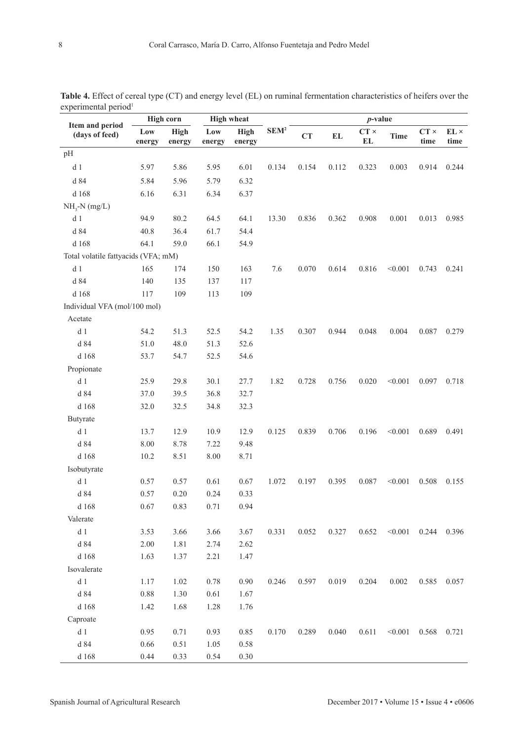|                                     |               | <b>High corn</b>      |               | <b>High wheat</b> |                  | $p$ -value |               |                   |             |                     |                             |  |
|-------------------------------------|---------------|-----------------------|---------------|-------------------|------------------|------------|---------------|-------------------|-------------|---------------------|-----------------------------|--|
| Item and period<br>(days of feed)   | Low<br>energy | <b>High</b><br>energy | Low<br>energy | High<br>energy    | SEM <sup>2</sup> | CT         | $\mathbf{EL}$ | $CT \times$<br>EL | <b>Time</b> | $CT \times$<br>time | $\mathbf{EL}\times$<br>time |  |
| pH                                  |               |                       |               |                   |                  |            |               |                   |             |                     |                             |  |
| d <sub>1</sub>                      | 5.97          | 5.86                  | 5.95          | 6.01              | 0.134            | 0.154      | 0.112         | 0.323             | 0.003       | 0.914               | 0.244                       |  |
| d 84                                | 5.84          | 5.96                  | 5.79          | 6.32              |                  |            |               |                   |             |                     |                             |  |
| d 168                               | 6.16          | 6.31                  | 6.34          | 6.37              |                  |            |               |                   |             |                     |                             |  |
| $NH3-N (mg/L)$                      |               |                       |               |                   |                  |            |               |                   |             |                     |                             |  |
| d <sub>1</sub>                      | 94.9          | 80.2                  | 64.5          | 64.1              | 13.30            | 0.836      | 0.362         | 0.908             | 0.001       | 0.013               | 0.985                       |  |
| d 84                                | 40.8          | 36.4                  | 61.7          | 54.4              |                  |            |               |                   |             |                     |                             |  |
| d 168                               | 64.1          | 59.0                  | 66.1          | 54.9              |                  |            |               |                   |             |                     |                             |  |
| Total volatile fattyacids (VFA; mM) |               |                       |               |                   |                  |            |               |                   |             |                     |                             |  |
| d <sub>1</sub>                      | 165           | 174                   | 150           | 163               | 7.6              | 0.070      | 0.614         | 0.816             | < 0.001     | 0.743               | 0.241                       |  |
| d 84                                | 140           | 135                   | 137           | 117               |                  |            |               |                   |             |                     |                             |  |
| d 168                               | 117           | 109                   | 113           | 109               |                  |            |               |                   |             |                     |                             |  |
| Individual VFA (mol/100 mol)        |               |                       |               |                   |                  |            |               |                   |             |                     |                             |  |
| Acetate                             |               |                       |               |                   |                  |            |               |                   |             |                     |                             |  |
| d <sub>1</sub>                      | 54.2          | 51.3                  | 52.5          | 54.2              | 1.35             | 0.307      | 0.944         | 0.048             | 0.004       | 0.087               | 0.279                       |  |
| d 84                                | 51.0          | 48.0                  | 51.3          | 52.6              |                  |            |               |                   |             |                     |                             |  |
| d 168                               | 53.7          | 54.7                  | 52.5          | 54.6              |                  |            |               |                   |             |                     |                             |  |
| Propionate                          |               |                       |               |                   |                  |            |               |                   |             |                     |                             |  |
| d <sub>1</sub>                      | 25.9          | 29.8                  | 30.1          | 27.7              | 1.82             | 0.728      | 0.756         | 0.020             | < 0.001     | 0.097               | 0.718                       |  |
| d 84                                | 37.0          | 39.5                  | 36.8          | 32.7              |                  |            |               |                   |             |                     |                             |  |
| d 168                               | 32.0          | 32.5                  | 34.8          | 32.3              |                  |            |               |                   |             |                     |                             |  |
| Butyrate                            |               |                       |               |                   |                  |            |               |                   |             |                     |                             |  |
| d <sub>1</sub>                      | 13.7          | 12.9                  | 10.9          | 12.9              | 0.125            | 0.839      | 0.706         | 0.196             | < 0.001     | 0.689               | 0.491                       |  |
| d 84                                | 8.00          | 8.78                  | 7.22          | 9.48              |                  |            |               |                   |             |                     |                             |  |
| d 168                               | 10.2          | 8.51                  | 8.00          | 8.71              |                  |            |               |                   |             |                     |                             |  |
| Isobutyrate                         |               |                       |               |                   |                  |            |               |                   |             |                     |                             |  |
| d <sub>1</sub>                      | 0.57          | 0.57                  | 0.61          | 0.67              | 1.072            | 0.197      | 0.395         | 0.087             | < 0.001     | 0.508               | 0.155                       |  |
| d 84                                | 0.57          | $0.20\,$              | 0.24          | 0.33              |                  |            |               |                   |             |                     |                             |  |
| d 168                               | 0.67          | 0.83                  | 0.71          | 0.94              |                  |            |               |                   |             |                     |                             |  |
| Valerate                            |               |                       |               |                   |                  |            |               |                   |             |                     |                             |  |
| d <sub>1</sub>                      | 3.53          | 3.66                  | 3.66          | 3.67              | 0.331            | 0.052      | 0.327         | 0.652             | < 0.001     | 0.244               | 0.396                       |  |
| d 84                                | 2.00          | 1.81                  | 2.74          | 2.62              |                  |            |               |                   |             |                     |                             |  |
| d 168                               | 1.63          | 1.37                  | 2.21          | 1.47              |                  |            |               |                   |             |                     |                             |  |
| Isovalerate                         |               |                       |               |                   |                  |            |               |                   |             |                     |                             |  |
| d <sub>1</sub>                      | 1.17          | 1.02                  | 0.78          | 0.90              | 0.246            | 0.597      | 0.019         | 0.204             | 0.002       | 0.585               | 0.057                       |  |
| d 84                                | 0.88          | 1.30                  | 0.61          | 1.67              |                  |            |               |                   |             |                     |                             |  |
| d 168                               | 1.42          | 1.68                  | 1.28          | 1.76              |                  |            |               |                   |             |                     |                             |  |
| Caproate                            |               |                       |               |                   |                  |            |               |                   |             |                     |                             |  |
| d <sub>1</sub>                      | 0.95          | 0.71                  | 0.93          | 0.85              | 0.170            | 0.289      | 0.040         | 0.611             | < 0.001     | 0.568               | 0.721                       |  |
| d 84                                | 0.66          | 0.51                  | 1.05          | 0.58              |                  |            |               |                   |             |                     |                             |  |
| d 168                               | 0.44          | 0.33                  | 0.54          | $0.30\,$          |                  |            |               |                   |             |                     |                             |  |

**Table 4.** Effect of cereal type (CT) and energy level (EL) on ruminal fermentation characteristics of heifers over the experimental period<sup>1</sup>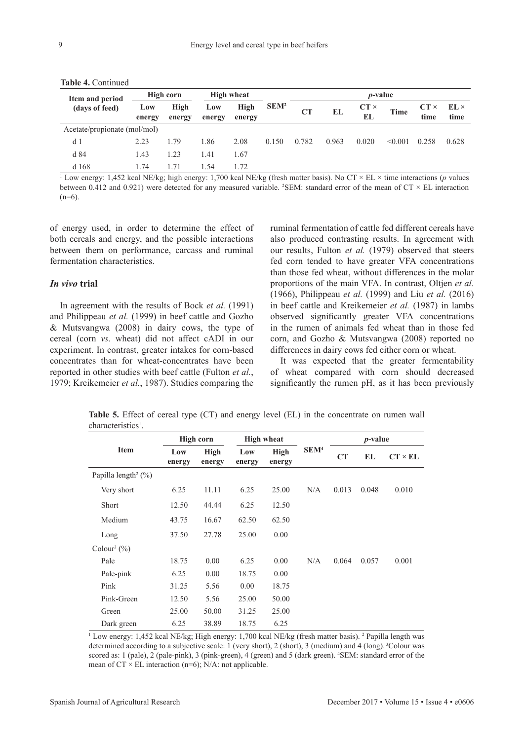| Item and period              | High corn     |                | <b>High wheat</b> |                |                  | <i>p</i> -value |           |                   |         |                     |                     |  |  |
|------------------------------|---------------|----------------|-------------------|----------------|------------------|-----------------|-----------|-------------------|---------|---------------------|---------------------|--|--|
| (days of feed)               | Low<br>energy | High<br>energy | Low<br>energy     | High<br>energy | SEM <sup>2</sup> | CT              | <b>EL</b> | $CT \times$<br>EL | Time    | $CT \times$<br>time | $EL \times$<br>time |  |  |
| Acetate/propionate (mol/mol) |               |                |                   |                |                  |                 |           |                   |         |                     |                     |  |  |
| d <sub>1</sub>               | 2.23          | 1.79           | 1.86              | 2.08           | 0.150            | 0.782           | 0.963     | 0.020             | < 0.001 | 0.258               | 0.628               |  |  |
| d 84                         | 1.43          | 1.23           | 1.41              | 1.67           |                  |                 |           |                   |         |                     |                     |  |  |
| d168                         | 174           | 71             | 154               | 172            |                  |                 |           |                   |         |                     |                     |  |  |

**Table 4.** Continued

1 Low energy: 1,452 kcal NE/kg; high energy: 1,700 kcal NE/kg (fresh matter basis). No CT × EL × time interactions (*p* values between 0.412 and 0.921) were detected for any measured variable. <sup>2</sup>SEM: standard error of the mean of  $CT \times EL$  interaction  $(n=6)$ .

of energy used, in order to determine the effect of both cereals and energy, and the possible interactions between them on performance, carcass and ruminal fermentation characteristics.

### *In vivo* **trial**

In agreement with the results of Bock *et al.* (1991) and Philippeau *et al.* (1999) in beef cattle and Gozho & Mutsvangwa (2008) in dairy cows, the type of cereal (corn *vs.* wheat) did not affect cADI in our experiment. In contrast, greater intakes for corn-based concentrates than for wheat-concentrates have been reported in other studies with beef cattle (Fulton *et al.*, 1979; Kreikemeier *et al.*, 1987). Studies comparing the

ruminal fermentation of cattle fed different cereals have also produced contrasting results. In agreement with our results, Fulton *et al.* (1979) observed that steers fed corn tended to have greater VFA concentrations than those fed wheat, without differences in the molar proportions of the main VFA. In contrast, Oltjen *et al.* (1966), Philippeau *et al.* (1999) and Liu *et al.* (2016) in beef cattle and Kreikemeier *et al.* (1987) in lambs observed significantly greater VFA concentrations in the rumen of animals fed wheat than in those fed corn, and Gozho & Mutsvangwa (2008) reported no differences in dairy cows fed either corn or wheat.

It was expected that the greater fermentability of wheat compared with corn should decreased significantly the rumen pH, as it has been previously

|                                     |               | High corn      |               | <b>High wheat</b>     |                  | $p$ -value |       |                |  |
|-------------------------------------|---------------|----------------|---------------|-----------------------|------------------|------------|-------|----------------|--|
| <b>Item</b>                         | Low<br>energy | High<br>energy | Low<br>energy | <b>High</b><br>energy | SEM <sup>4</sup> | CT         | EL    | $CT \times EL$ |  |
| Papilla length <sup>2</sup> $(\%)$  |               |                |               |                       |                  |            |       |                |  |
| Very short                          | 6.25          | 11.11          | 6.25          | 25.00                 | N/A              | 0.013      | 0.048 | 0.010          |  |
| Short                               | 12.50         | 44.44          | 6.25          | 12.50                 |                  |            |       |                |  |
| Medium                              | 43.75         | 16.67          | 62.50         | 62.50                 |                  |            |       |                |  |
| Long                                | 37.50         | 27.78          | 25.00         | 0.00                  |                  |            |       |                |  |
| Colour <sup>3</sup> $(\frac{9}{6})$ |               |                |               |                       |                  |            |       |                |  |
| Pale                                | 18.75         | 0.00           | 6.25          | 0.00                  | N/A              | 0.064      | 0.057 | 0.001          |  |
| Pale-pink                           | 6.25          | 0.00           | 18.75         | 0.00                  |                  |            |       |                |  |
| Pink                                | 31.25         | 5.56           | 0.00          | 18.75                 |                  |            |       |                |  |
| Pink-Green                          | 12.50         | 5.56           | 25.00         | 50.00                 |                  |            |       |                |  |
| Green                               | 25.00         | 50.00          | 31.25         | 25.00                 |                  |            |       |                |  |
| Dark green                          | 6.25          | 38.89          | 18.75         | 6.25                  |                  |            |       |                |  |

**Table 5.** Effect of cereal type (CT) and energy level (EL) in the concentrate on rumen wall characteristics<sup>1</sup>.

<sup>1</sup> Low energy: 1,452 kcal NE/kg; High energy: 1,700 kcal NE/kg (fresh matter basis). <sup>2</sup> Papilla length was determined according to a subjective scale: 1 (very short), 2 (short), 3 (medium) and 4 (long). 3Colour was scored as: 1 (pale), 2 (pale-pink), 3 (pink-green), 4 (green) and 5 (dark green). <sup>4</sup>SEM: standard error of the mean of  $CT \times EL$  interaction (n=6); N/A: not applicable.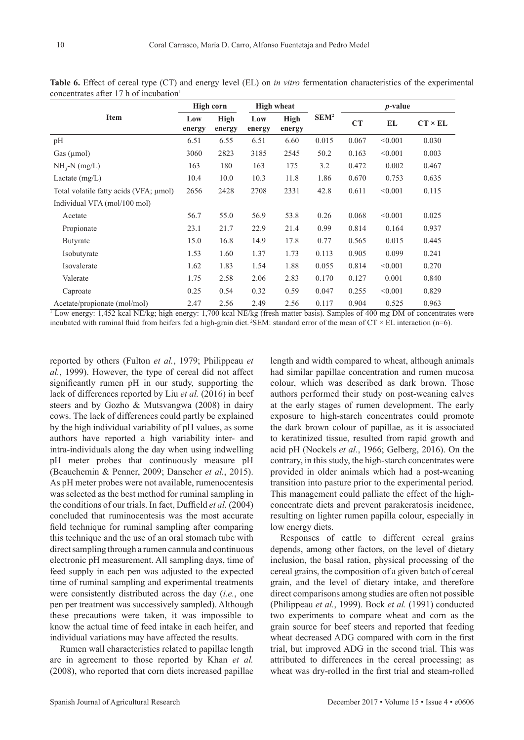|                                        | High corn     |                       | <b>High wheat</b> |                       |                  | <i>p</i> -value |         |                |  |
|----------------------------------------|---------------|-----------------------|-------------------|-----------------------|------------------|-----------------|---------|----------------|--|
| <b>Item</b>                            | Low<br>energy | <b>High</b><br>energy | Low<br>energy     | <b>High</b><br>energy | SEM <sup>2</sup> | CT              | EL      | $CT \times EL$ |  |
| pH                                     | 6.51          | 6.55                  | 6.51              | 6.60                  | 0.015            | 0.067           | < 0.001 | 0.030          |  |
| Gas $(\mu$ mol $)$                     | 3060          | 2823                  | 3185              | 2545                  | 50.2             | 0.163           | < 0.001 | 0.003          |  |
| $NH3-N (mg/L)$                         | 163           | 180                   | 163               | 175                   | 3.2              | 0.472           | 0.002   | 0.467          |  |
| Lactate $(mg/L)$                       | 10.4          | 10.0                  | 10.3              | 11.8                  | 1.86             | 0.670           | 0.753   | 0.635          |  |
| Total volatile fatty acids (VFA; µmol) | 2656          | 2428                  | 2708              | 2331                  | 42.8             | 0.611           | < 0.001 | 0.115          |  |
| Individual VFA (mol/100 mol)           |               |                       |                   |                       |                  |                 |         |                |  |
| Acetate                                | 56.7          | 55.0                  | 56.9              | 53.8                  | 0.26             | 0.068           | < 0.001 | 0.025          |  |
| Propionate                             | 23.1          | 21.7                  | 22.9              | 21.4                  | 0.99             | 0.814           | 0.164   | 0.937          |  |
| Butyrate                               | 15.0          | 16.8                  | 14.9              | 17.8                  | 0.77             | 0.565           | 0.015   | 0.445          |  |
| Isobutyrate                            | 1.53          | 1.60                  | 1.37              | 1.73                  | 0.113            | 0.905           | 0.099   | 0.241          |  |
| Isovalerate                            | 1.62          | 1.83                  | 1.54              | 1.88                  | 0.055            | 0.814           | < 0.001 | 0.270          |  |
| Valerate                               | 1.75          | 2.58                  | 2.06              | 2.83                  | 0.170            | 0.127           | 0.001   | 0.840          |  |
| Caproate                               | 0.25          | 0.54                  | 0.32              | 0.59                  | 0.047            | 0.255           | < 0.001 | 0.829          |  |
| Acetate/propionate (mol/mol)           | 2.47          | 2.56                  | 2.49              | 2.56                  | 0.117            | 0.904           | 0.525   | 0.963          |  |

**Table 6.** Effect of cereal type (CT) and energy level (EL) on *in vitro* fermentation characteristics of the experimental concentrates after 17 h of incubation $<sup>1</sup>$ </sup>

1 Low energy: 1,452 kcal NE/kg; high energy: 1,700 kcal NE/kg (fresh matter basis). Samples of 400 mg DM of concentrates were incubated with ruminal fluid from heifers fed a high-grain diet. <sup>2</sup>SEM: standard error of the mean of  $CT \times EL$  interaction (n=6).

reported by others (Fulton *et al.*, 1979; Philippeau *et al.*, 1999). However, the type of cereal did not affect significantly rumen pH in our study, supporting the lack of differences reported by Liu *et al.* (2016) in beef steers and by Gozho & Mutsvangwa (2008) in dairy cows. The lack of differences could partly be explained by the high individual variability of pH values, as some authors have reported a high variability inter- and intra-individuals along the day when using indwelling pH meter probes that continuously measure pH (Beauchemin & Penner, 2009; Danscher *et al.*, 2015). As pH meter probes were not available, rumenocentesis was selected as the best method for ruminal sampling in the conditions of our trials. In fact, Duffield *et al.* (2004) concluded that ruminocentesis was the most accurate field technique for ruminal sampling after comparing this technique and the use of an oral stomach tube with direct sampling through a rumen cannula and continuous electronic pH measurement. All sampling days, time of feed supply in each pen was adjusted to the expected time of ruminal sampling and experimental treatments were consistently distributed across the day (*i.e.*, one pen per treatment was successively sampled). Although these precautions were taken, it was impossible to know the actual time of feed intake in each heifer, and individual variations may have affected the results.

Rumen wall characteristics related to papillae length are in agreement to those reported by Khan *et al.* (2008), who reported that corn diets increased papillae length and width compared to wheat, although animals had similar papillae concentration and rumen mucosa colour, which was described as dark brown. Those authors performed their study on post-weaning calves at the early stages of rumen development. The early exposure to high-starch concentrates could promote the dark brown colour of papillae, as it is associated to keratinized tissue, resulted from rapid growth and acid pH (Nockels *et al.*, 1966; Gelberg, 2016). On the contrary, in this study, the high-starch concentrates were provided in older animals which had a post-weaning transition into pasture prior to the experimental period. This management could palliate the effect of the highconcentrate diets and prevent parakeratosis incidence, resulting on lighter rumen papilla colour, especially in low energy diets.

Responses of cattle to different cereal grains depends, among other factors, on the level of dietary inclusion, the basal ration, physical processing of the cereal grains, the composition of a given batch of cereal grain, and the level of dietary intake, and therefore direct comparisons among studies are often not possible (Philippeau *et al.*, 1999). Bock *et al.* (1991) conducted two experiments to compare wheat and corn as the grain source for beef steers and reported that feeding wheat decreased ADG compared with corn in the first trial, but improved ADG in the second trial. This was attributed to differences in the cereal processing; as wheat was dry-rolled in the first trial and steam-rolled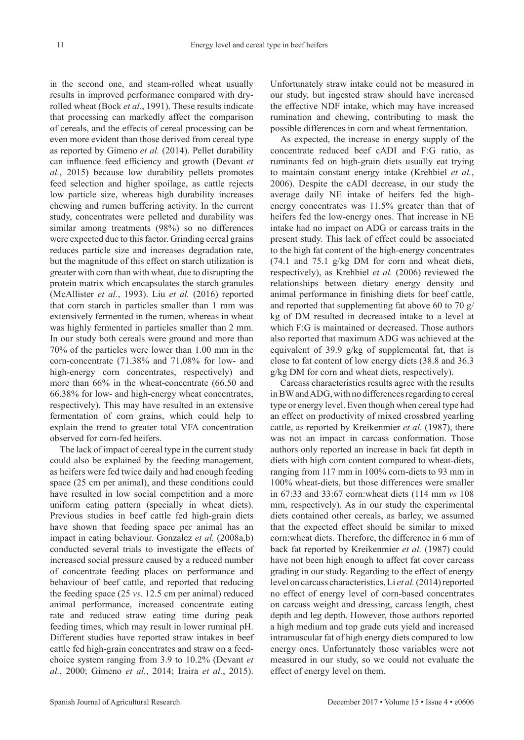in the second one, and steam-rolled wheat usually results in improved performance compared with dryrolled wheat (Bock *et al.*, 1991). These results indicate that processing can markedly affect the comparison of cereals, and the effects of cereal processing can be even more evident than those derived from cereal type as reported by Gimeno *et al.* (2014). Pellet durability can influence feed efficiency and growth (Devant *et al.*, 2015) because low durability pellets promotes feed selection and higher spoilage, as cattle rejects low particle size, whereas high durability increases chewing and rumen buffering activity. In the current study, concentrates were pelleted and durability was similar among treatments (98%) so no differences were expected due to this factor. Grinding cereal grains reduces particle size and increases degradation rate, but the magnitude of this effect on starch utilization is greater with corn than with wheat, due to disrupting the protein matrix which encapsulates the starch granules (McAllister *et al.*, 1993). Liu *et al.* (2016) reported that corn starch in particles smaller than 1 mm was extensively fermented in the rumen, whereas in wheat was highly fermented in particles smaller than 2 mm. In our study both cereals were ground and more than 70% of the particles were lower than 1.00 mm in the corn-concentrate (71.38% and 71.08% for low- and high-energy corn concentrates, respectively) and more than 66% in the wheat-concentrate (66.50 and 66.38% for low- and high-energy wheat concentrates, respectively). This may have resulted in an extensive fermentation of corn grains, which could help to explain the trend to greater total VFA concentration observed for corn-fed heifers.

The lack of impact of cereal type in the current study could also be explained by the feeding management, as heifers were fed twice daily and had enough feeding space (25 cm per animal), and these conditions could have resulted in low social competition and a more uniform eating pattern (specially in wheat diets). Previous studies in beef cattle fed high-grain diets have shown that feeding space per animal has an impact in eating behaviour. Gonzalez *et al.* (2008a,b) conducted several trials to investigate the effects of increased social pressure caused by a reduced number of concentrate feeding places on performance and behaviour of beef cattle, and reported that reducing the feeding space (25 *vs.* 12.5 cm per animal) reduced animal performance, increased concentrate eating rate and reduced straw eating time during peak feeding times, which may result in lower ruminal pH. Different studies have reported straw intakes in beef cattle fed high-grain concentrates and straw on a feedchoice system ranging from 3.9 to 10.2% (Devant *et al.*, 2000; Gimeno *et al.*, 2014; Iraira *et al.*, 2015).

Unfortunately straw intake could not be measured in our study, but ingested straw should have increased the effective NDF intake, which may have increased rumination and chewing, contributing to mask the possible differences in corn and wheat fermentation.

As expected, the increase in energy supply of the concentrate reduced beef cADI and F:G ratio, as ruminants fed on high-grain diets usually eat trying to maintain constant energy intake (Krehbiel *et al.*, 2006). Despite the cADI decrease, in our study the average daily NE intake of heifers fed the highenergy concentrates was 11.5% greater than that of heifers fed the low-energy ones. That increase in NE intake had no impact on ADG or carcass traits in the present study. This lack of effect could be associated to the high fat content of the high-energy concentrates  $(74.1 \text{ and } 75.1 \text{ g/kg} \text{ DM}$  for corn and wheat diets, respectively), as Krehbiel *et al.* (2006) reviewed the relationships between dietary energy density and animal performance in finishing diets for beef cattle, and reported that supplementing fat above 60 to 70 g/ kg of DM resulted in decreased intake to a level at which F:G is maintained or decreased. Those authors also reported that maximum ADG was achieved at the equivalent of 39.9 g/kg of supplemental fat, that is close to fat content of low energy diets (38.8 and 36.3 g/kg DM for corn and wheat diets, respectively).

Carcass characteristics results agree with the results in BW and ADG, with no differences regarding to cereal type or energy level. Even though when cereal type had an effect on productivity of mixed crossbred yearling cattle, as reported by Kreikenmier *et al.* (1987), there was not an impact in carcass conformation. Those authors only reported an increase in back fat depth in diets with high corn content compared to wheat-diets, ranging from 117 mm in 100% corn-diets to 93 mm in 100% wheat-diets, but those differences were smaller in 67:33 and 33:67 corn:wheat diets (114 mm *vs* 108 mm, respectively). As in our study the experimental diets contained other cereals, as barley, we assumed that the expected effect should be similar to mixed corn:wheat diets. Therefore, the difference in 6 mm of back fat reported by Kreikenmier *et al.* (1987) could have not been high enough to affect fat cover carcass grading in our study. Regarding to the effect of energy level on carcass characteristics, Li *et al.* (2014) reported no effect of energy level of corn-based concentrates on carcass weight and dressing, carcass length, chest depth and leg depth. However, those authors reported a high medium and top grade cuts yield and increased intramuscular fat of high energy diets compared to low energy ones. Unfortunately those variables were not measured in our study, so we could not evaluate the effect of energy level on them.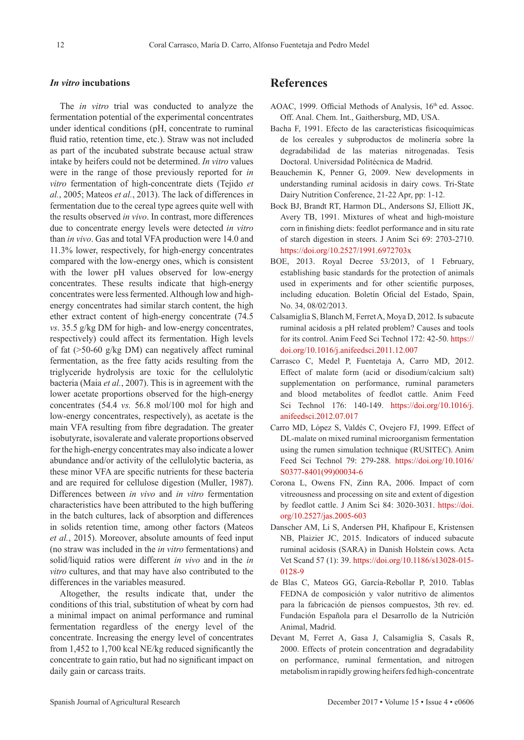### *In vitro* **incubations**

The *in vitro* trial was conducted to analyze the fermentation potential of the experimental concentrates under identical conditions (pH, concentrate to ruminal fluid ratio, retention time, etc.). Straw was not included as part of the incubated substrate because actual straw intake by heifers could not be determined. *In vitro* values were in the range of those previously reported for *in vitro* fermentation of high-concentrate diets (Tejido *et al.*, 2005; Mateos *et al.*, 2013). The lack of differences in fermentation due to the cereal type agrees quite well with the results observed *in vivo*. In contrast, more differences due to concentrate energy levels were detected *in vitro* than *in vivo*. Gas and total VFA production were 14.0 and 11.3% lower, respectively, for high-energy concentrates compared with the low-energy ones, which is consistent with the lower pH values observed for low-energy concentrates. These results indicate that high-energy concentrates were less fermented. Although low and highenergy concentrates had similar starch content, the high ether extract content of high-energy concentrate (74.5 *vs*. 35.5 g/kg DM for high- and low-energy concentrates, respectively) could affect its fermentation. High levels of fat (>50-60 g/kg DM) can negatively affect ruminal fermentation, as the free fatty acids resulting from the triglyceride hydrolysis are toxic for the cellulolytic bacteria (Maia *et al.*, 2007). This is in agreement with the lower acetate proportions observed for the high-energy concentrates (54.4 *vs.* 56.8 mol/100 mol for high and low-energy concentrates, respectively), as acetate is the main VFA resulting from fibre degradation. The greater isobutyrate, isovalerate and valerate proportions observed for the high-energy concentrates may also indicate a lower abundance and/or activity of the cellulolytic bacteria, as these minor VFA are specific nutrients for these bacteria and are required for cellulose digestion (Muller, 1987). Differences between *in vivo* and *in vitro* fermentation characteristics have been attributed to the high buffering in the batch cultures, lack of absorption and differences in solids retention time, among other factors (Mateos *et al.*, 2015). Moreover, absolute amounts of feed input (no straw was included in the *in vitro* fermentations) and solid/liquid ratios were different *in vivo* and in the *in vitro* cultures, and that may have also contributed to the differences in the variables measured.

Altogether, the results indicate that, under the conditions of this trial, substitution of wheat by corn had a minimal impact on animal performance and ruminal fermentation regardless of the energy level of the concentrate. Increasing the energy level of concentrates from 1,452 to 1,700 kcal NE/kg reduced significantly the concentrate to gain ratio, but had no significant impact on daily gain or carcass traits.

## **References**

- AOAC, 1999. Official Methods of Analysis, 16<sup>th</sup> ed. Assoc. Off. Anal. Chem. Int., Gaithersburg, MD, USA.
- Bacha F, 1991. Efecto de las características fisicoquímicas de los cereales y subproductos de molinería sobre la degradabilidad de las materias nitrogenadas. Tesis Doctoral. Universidad Politécnica de Madrid.
- Beauchemin K, Penner G, 2009. New developments in understanding ruminal acidosis in dairy cows. Tri-State Dairy Nutrition Conference, 21-22 Apr, pp: 1-12.
- Bock BJ, Brandt RT, Harmon DL, Andersons SJ, Elliott JK, Avery TB, 1991. Mixtures of wheat and high-moisture corn in finishing diets: feedlot performance and in situ rate of starch digestion in steers. J Anim Sci 69: 2703-2710. <https://doi.org/10.2527/1991.6972703x>
- BOE, 2013. Royal Decree 53/2013, of 1 February, establishing basic standards for the protection of animals used in experiments and for other scientific purposes, including education. Boletín Oficial del Estado, Spain, No. 34, 08/02/2013.
- Calsamiglia S, Blanch M, Ferret A, Moya D, 2012. Is subacute ruminal acidosis a pH related problem? Causes and tools for its control. Anim Feed Sci Technol 172: 42-50. [https://](https://doi.org/10.1016/j.anifeedsci.2011.12.007) [doi.org/10.1016/j.anifeedsci.2011.12.007](https://doi.org/10.1016/j.anifeedsci.2011.12.007)
- Carrasco C, Medel P, Fuentetaja A, Carro MD, 2012. Effect of malate form (acid or disodium/calcium salt) supplementation on performance, ruminal parameters and blood metabolites of feedlot cattle. Anim Feed Sci Technol 176: 140-149. [https://doi.org/10.1016/j.](https://doi.org/10.1016/j.anifeedsci.2012.07.017) [anifeedsci.2012.07.017](https://doi.org/10.1016/j.anifeedsci.2012.07.017)
- Carro MD, López S, Valdés C, Ovejero FJ, 1999. Effect of DL-malate on mixed ruminal microorganism fermentation using the rumen simulation technique (RUSITEC). Anim Feed Sci Technol 79: 279-288. [https://doi.org/10.1016/](https://doi.org/10.1016/S0377-8401(99)00034-6) [S0377-8401\(99\)00034-6](https://doi.org/10.1016/S0377-8401(99)00034-6)
- Corona L, Owens FN, Zinn RA, 2006. Impact of corn vitreousness and processing on site and extent of digestion by feedlot cattle. J Anim Sci 84: 3020-3031. [https://doi.](https://doi.org/10.2527/jas.2005-603) [org/10.2527/jas.2005-603](https://doi.org/10.2527/jas.2005-603)
- Danscher AM, Li S, Andersen PH, Khafipour E, Kristensen NB, Plaizier JC, 2015. Indicators of induced subacute ruminal acidosis (SARA) in Danish Holstein cows. Acta Vet Scand 57 (1): 39. [https://doi.org/10.1186/s13028-015-](https://doi.org/10.1186/s13028-015-0128-9) [0128-9](https://doi.org/10.1186/s13028-015-0128-9)
- de Blas C, Mateos GG, García-Rebollar P, 2010. Tablas FEDNA de composición y valor nutritivo de alimentos para la fabricación de piensos compuestos, 3th rev. ed. Fundación Española para el Desarrollo de la Nutrición Animal, Madrid.
- Devant M, Ferret A, Gasa J, Calsamiglia S, Casals R, 2000. Effects of protein concentration and degradability on performance, ruminal fermentation, and nitrogen metabolism in rapidly growing heifers fed high-concentrate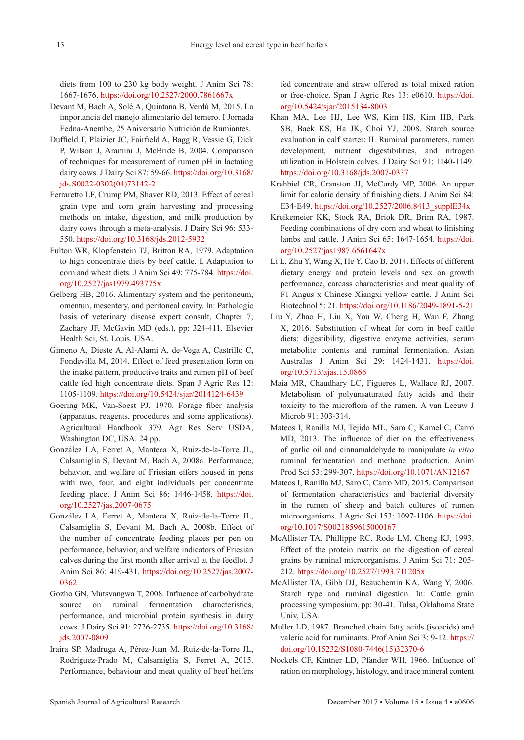diets from 100 to 230 kg body weight. J Anim Sci 78: 1667-1676.<https://doi.org/10.2527/2000.7861667x>

- Devant M, Bach A, Solé A, Quintana B, Verdú M, 2015. La importancia del manejo alimentario del ternero. I Jornada Fedna-Anembe, 25 Aniversario Nutrición de Rumiantes.
- Duffield T, Plaizier JC, Fairfield A, Bagg R, Vessie G, Dick P, Wilson J, Aramini J, McBride B, 2004. Comparison of techniques for measurement of rumen pH in lactating dairy cows. J Dairy Sci 87: 59-66. [https://doi.org/10.3168/](https://doi.org/10.3168/jds.S0022-0302(04)73142-2) [jds.S0022-0302\(04\)73142-2](https://doi.org/10.3168/jds.S0022-0302(04)73142-2)
- Ferraretto LF, Crump PM, Shaver RD, 2013. Effect of cereal grain type and corn grain harvesting and processing methods on intake, digestion, and milk production by dairy cows through a meta-analysis. J Dairy Sci 96: 533- 550.<https://doi.org/10.3168/jds.2012-5932>
- Fulton WR, Klopfenstein TJ, Britton RA, 1979. Adaptation to high concentrate diets by beef cattle. I. Adaptation to corn and wheat diets. J Anim Sci 49: 775-784. [https://doi.](https://doi.org/10.2527/jas1979.493775x) [org/10.2527/jas1979.493775x](https://doi.org/10.2527/jas1979.493775x)
- Gelberg HB, 2016. Alimentary system and the peritoneum, omentun, mesentery, and peritoneal cavity. In: Pathologic basis of veterinary disease expert consult, Chapter 7; Zachary JF, McGavin MD (eds.), pp: 324-411. Elsevier Health Sci, St. Louis. USA.
- Gimeno A, Dieste A, Al-Alami A, de-Vega A, Castrillo C, Fondevilla M, 2014. Effect of feed presentation form on the intake pattern, productive traits and rumen pH of beef cattle fed high concentrate diets. Span J Agric Res 12: 1105-1109. <https://doi.org/10.5424/sjar/2014124-6439>
- Goering MK, Van-Soest PJ, 1970. Forage fiber analysis (apparatus, reagents, procedures and some applications). Agricultural Handbook 379. Agr Res Serv USDA, Washington DC, USA. 24 pp.
- González LA, Ferret A, Manteca X, Ruiz-de-la-Torre JL, Calsamiglia S, Devant M, Bach A, 2008a. Performance, behavior, and welfare of Friesian eifers housed in pens with two, four, and eight individuals per concentrate feeding place. J Anim Sci 86: 1446-1458. [https://doi.](https://doi.org/10.2527/jas.2007-0675) [org/10.2527/jas.2007-0675](https://doi.org/10.2527/jas.2007-0675)
- González LA, Ferret A, Manteca X, Ruiz-de-la-Torre JL, Calsamiglia S, Devant M, Bach A, 2008b. Effect of the number of concentrate feeding places per pen on performance, behavior, and welfare indicators of Friesian calves during the first month after arrival at the feedlot. J Anim Sci 86: 419-431. [https://doi.org/10.2527/jas.2007-](https://doi.org/10.2527/jas.2007-0362) [0362](https://doi.org/10.2527/jas.2007-0362)
- Gozho GN, Mutsvangwa T, 2008. Influence of carbohydrate source on ruminal fermentation characteristics, performance, and microbial protein synthesis in dairy cows. J Dairy Sci 91: 2726-2735. [https://doi.org/10.3168/](https://doi.org/10.3168/jds.2007-0809) [jds.2007-0809](https://doi.org/10.3168/jds.2007-0809)
- Iraira SP, Madruga A, Pérez-Juan M, Ruiz-de-la-Torre JL, Rodríguez-Prado M, Calsamiglia S, Ferret A, 2015. Performance, behaviour and meat quality of beef heifers

fed concentrate and straw offered as total mixed ration or free-choice. Span J Agric Res 13: e0610. [https://doi.](https://doi.org/10.5424/sjar/2015134-8003) [org/10.5424/sjar/2015134-8003](https://doi.org/10.5424/sjar/2015134-8003)

- Khan MA, Lee HJ, Lee WS, Kim HS, Kim HB, Park SB, Baek KS, Ha JK, Choi YJ, 2008. Starch source evaluation in calf starter: II. Ruminal parameters, rumen development, nutrient digestibilities, and nitrogen utilization in Holstein calves. J Dairy Sci 91: 1140-1149. <https://doi.org/10.3168/jds.2007-0337>
- Krehbiel CR, Cranston JJ, McCurdy MP, 2006. An upper limit for caloric density of finishing diets. J Anim Sci 84: E34-E49. [https://doi.org/10.2527/2006.8413\\_supplE34x](https://doi.org/10.2527/2006.8413_supplE34x)
- Kreikemeier KK, Stock RA, Briok DR, Brim RA, 1987. Feeding combinations of dry corn and wheat to finishing lambs and cattle. J Anim Sci 65: 1647-1654. [https://doi.](https://doi.org/10.2527/jas1987.6561647x) [org/10.2527/jas1987.6561647x](https://doi.org/10.2527/jas1987.6561647x)
- Li L, Zhu Y, Wang X, He Y, Cao B, 2014. Effects of different dietary energy and protein levels and sex on growth performance, carcass characteristics and meat quality of F1 Angus x Chinese Xiangxi yellow cattle. J Anim Sci Biotechnol 5: 21. [https://doi.org/10.1186/2049-1891-5-21](https://doi.org/10.1186/2049-1891-5-21 )
- Liu Y, Zhao H, Liu X, You W, Cheng H, Wan F, Zhang X, 2016. Substitution of wheat for corn in beef cattle diets: digestibility, digestive enzyme activities, serum metabolite contents and ruminal fermentation. Asian Australas J Anim Sci 29: 1424-1431. [https://doi.](https://doi.org/10.5713/ajas.15.0866) [org/10.5713/ajas.15.0866](https://doi.org/10.5713/ajas.15.0866)
- Maia MR, Chaudhary LC, Figueres L, Wallace RJ, 2007. Metabolism of polyunsaturated fatty acids and their toxicity to the microflora of the rumen. A van Leeuw J Microb 91: 303-314.
- Mateos I, Ranilla MJ, Tejido ML, Saro C, Kamel C, Carro MD, 2013. The influence of diet on the effectiveness of garlic oil and cinnamaldehyde to manipulate *in vitro* ruminal fermentation and methane production. Anim Prod Sci 53: 299-307.<https://doi.org/10.1071/AN12167>
- Mateos I, Ranilla MJ, Saro C, Carro MD, 2015. Comparison of fermentation characteristics and bacterial diversity in the rumen of sheep and batch cultures of rumen microorganisms. J Agric Sci 153: 1097-1106. [https://doi.](https://doi.org/10.1017/S0021859615000167) [org/10.1017/S0021859615000167](https://doi.org/10.1017/S0021859615000167)
- McAllister TA, Phillippe RC, Rode LM, Cheng KJ, 1993. Effect of the protein matrix on the digestion of cereal grains by ruminal microorganisms. J Anim Sci 71: 205- 212. <https://doi.org/10.2527/1993.711205x>
- McAllister TA, Gibb DJ, Beauchemin KA, Wang Y, 2006. Starch type and ruminal digestion. In: Cattle grain processing symposium, pp: 30-41. Tulsa, Oklahoma State Univ, USA.
- Muller LD, 1987. Branched chain fatty acids (isoacids) and valeric acid for ruminants. Prof Anim Sci 3: 9-12. [https://](https://doi.org/10.15232/S1080-7446(15)32370-6) [doi.org/10.15232/S1080-7446\(15\)32370-6](https://doi.org/10.15232/S1080-7446(15)32370-6)
- Nockels CF, Kintner LD, Pfander WH, 1966. Influence of ration on morphology, histology, and trace mineral content